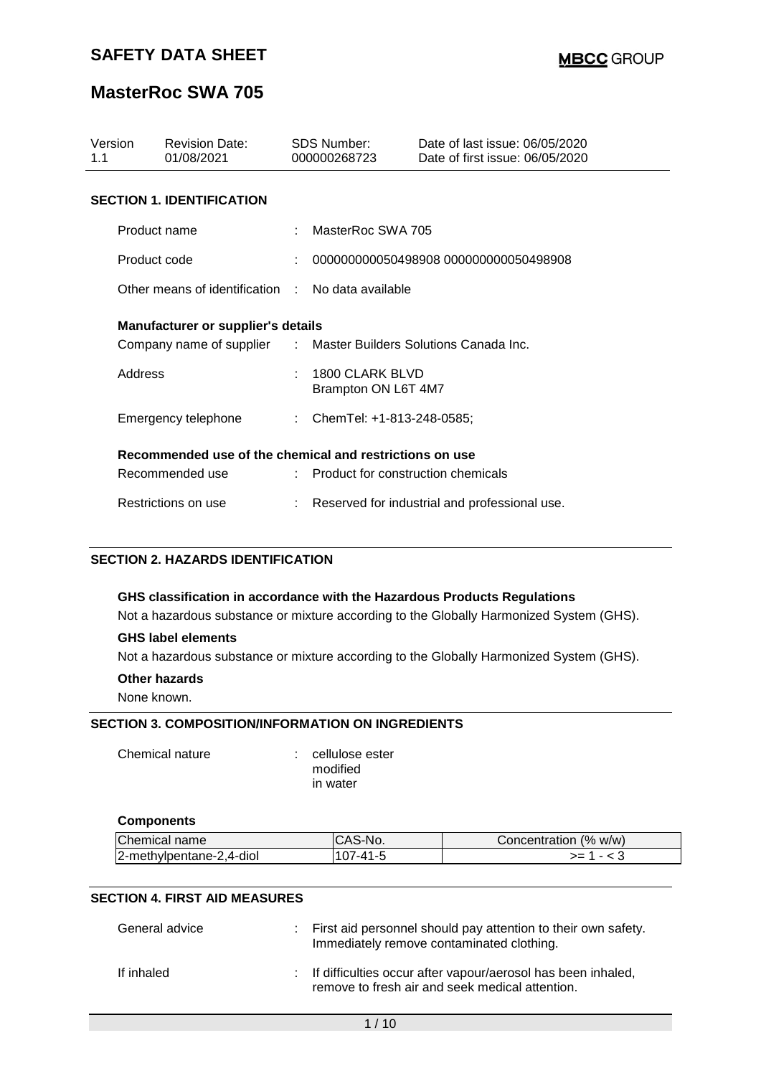## **MasterRoc SWA 705**

| Version<br>1.1                                          | <b>Revision Date:</b><br>01/08/2021                              |  | SDS Number:<br>000000268723            | Date of last issue: 06/05/2020<br>Date of first issue: 06/05/2020 |
|---------------------------------------------------------|------------------------------------------------------------------|--|----------------------------------------|-------------------------------------------------------------------|
|                                                         | <b>SECTION 1. IDENTIFICATION</b>                                 |  |                                        |                                                                   |
|                                                         | Product name                                                     |  | MasterRoc SWA 705                      |                                                                   |
|                                                         | Product code                                                     |  |                                        | 000000000050498908 000000000050498908                             |
|                                                         | Other means of identification : No data available                |  |                                        |                                                                   |
|                                                         | <b>Manufacturer or supplier's details</b>                        |  |                                        |                                                                   |
|                                                         | Company name of supplier : Master Builders Solutions Canada Inc. |  |                                        |                                                                   |
| Address                                                 |                                                                  |  | 1800 CLARK BLVD<br>Brampton ON L6T 4M7 |                                                                   |
|                                                         | Emergency telephone                                              |  | : ChemTel: +1-813-248-0585;            |                                                                   |
| Recommended use of the chemical and restrictions on use |                                                                  |  |                                        |                                                                   |
|                                                         | Recommended use                                                  |  | : Product for construction chemicals   |                                                                   |
|                                                         | Restrictions on use                                              |  |                                        | Reserved for industrial and professional use.                     |

### **SECTION 2. HAZARDS IDENTIFICATION**

#### **GHS classification in accordance with the Hazardous Products Regulations**

Not a hazardous substance or mixture according to the Globally Harmonized System (GHS).

#### **GHS label elements**

Not a hazardous substance or mixture according to the Globally Harmonized System (GHS).

#### **Other hazards**

None known.

#### **SECTION 3. COMPOSITION/INFORMATION ON INGREDIENTS**

Chemical nature : cellulose ester

modified in water

#### **Components**

| Chemical name            | S-No. | Concentration (% w/w) |
|--------------------------|-------|-----------------------|
| 2-methylpentane-2,4-diol | 41-4  | ~-                    |

#### **SECTION 4. FIRST AID MEASURES**

| General advice | : First aid personnel should pay attention to their own safety.<br>Immediately remove contaminated clothing.      |
|----------------|-------------------------------------------------------------------------------------------------------------------|
| If inhaled     | : If difficulties occur after vapour/aerosol has been inhaled,<br>remove to fresh air and seek medical attention. |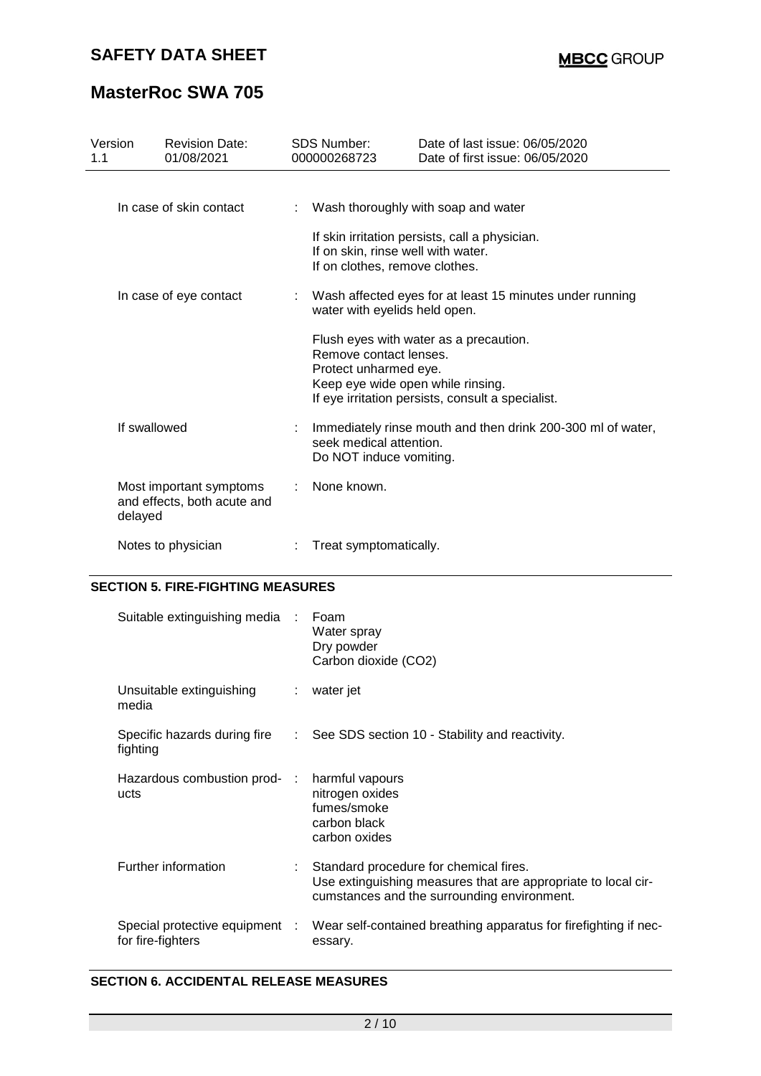# **MasterRoc SWA 705**

| Version<br>1.1 | <b>Revision Date:</b><br>01/08/2021                    | <b>SDS Number:</b><br>000000268723                                                   | Date of last issue: 06/05/2020<br>Date of first issue: 06/05/2020                           |
|----------------|--------------------------------------------------------|--------------------------------------------------------------------------------------|---------------------------------------------------------------------------------------------|
|                | In case of skin contact                                |                                                                                      | Wash thoroughly with soap and water<br>If skin irritation persists, call a physician.       |
|                |                                                        | If on skin, rinse well with water.<br>If on clothes, remove clothes.                 |                                                                                             |
|                | In case of eye contact                                 | water with eyelids held open.                                                        | : Wash affected eyes for at least 15 minutes under running                                  |
|                |                                                        | Remove contact lenses.<br>Protect unharmed eye.<br>Keep eye wide open while rinsing. | Flush eyes with water as a precaution.<br>If eye irritation persists, consult a specialist. |
| If swallowed   |                                                        | seek medical attention.<br>Do NOT induce vomiting.                                   | : Immediately rinse mouth and then drink 200-300 ml of water,                               |
| delayed        | Most important symptoms<br>and effects, both acute and | None known.                                                                          |                                                                                             |
|                | Notes to physician                                     | Treat symptomatically.                                                               |                                                                                             |

## **SECTION 5. FIRE-FIGHTING MEASURES**

| Suitable extinguishing media :                      | Foam<br>Water spray<br>Dry powder<br>Carbon dioxide (CO2)                                                                                              |
|-----------------------------------------------------|--------------------------------------------------------------------------------------------------------------------------------------------------------|
| Unsuitable extinguishing<br>media                   | : water jet                                                                                                                                            |
| fighting                                            | Specific hazards during fire : See SDS section 10 - Stability and reactivity.                                                                          |
| Hazardous combustion prod- :<br>ucts                | harmful vapours<br>nitrogen oxides<br>fumes/smoke<br>carbon black<br>carbon oxides                                                                     |
| Further information                                 | Standard procedure for chemical fires.<br>Use extinguishing measures that are appropriate to local cir-<br>cumstances and the surrounding environment. |
| Special protective equipment :<br>for fire-fighters | Wear self-contained breathing apparatus for firefighting if nec-<br>essary.                                                                            |

### **SECTION 6. ACCIDENTAL RELEASE MEASURES**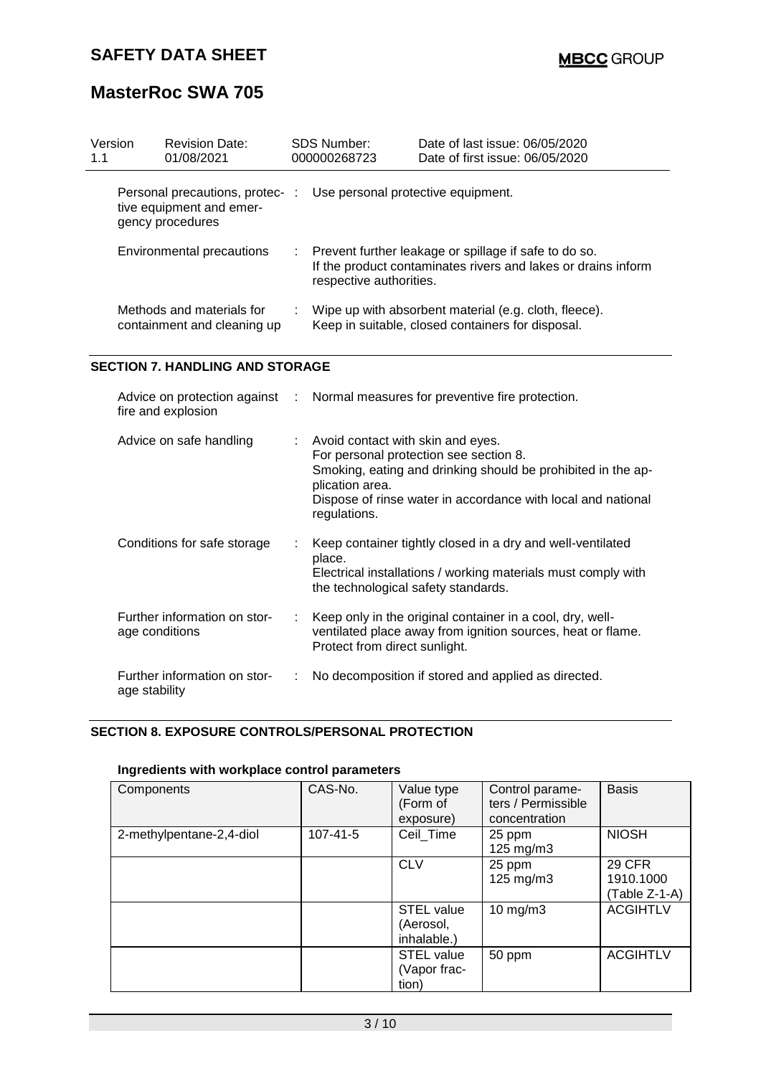# **MasterRoc SWA 705**

| Version<br>1.1 | <b>Revision Date:</b><br>01/08/2021                                            | <b>SDS Number:</b><br>000000268723 | Date of last issue: 06/05/2020<br>Date of first issue: 06/05/2020                                                                   |
|----------------|--------------------------------------------------------------------------------|------------------------------------|-------------------------------------------------------------------------------------------------------------------------------------|
|                | Personal precautions, protec-:<br>tive equipment and emer-<br>gency procedures | Use personal protective equipment. |                                                                                                                                     |
|                | Environmental precautions                                                      | respective authorities.            | $\therefore$ Prevent further leakage or spillage if safe to do so.<br>If the product contaminates rivers and lakes or drains inform |
|                | Methods and materials for<br>containment and cleaning up                       |                                    | Wipe up with absorbent material (e.g. cloth, fleece).<br>Keep in suitable, closed containers for disposal.                          |

#### **SECTION 7. HANDLING AND STORAGE**

| fire and explosion                             |                            | Advice on protection against : Normal measures for preventive fire protection.                                                                                                                                                                 |
|------------------------------------------------|----------------------------|------------------------------------------------------------------------------------------------------------------------------------------------------------------------------------------------------------------------------------------------|
| Advice on safe handling                        | $\mathcal{L}^{\text{max}}$ | Avoid contact with skin and eyes.<br>For personal protection see section 8.<br>Smoking, eating and drinking should be prohibited in the ap-<br>plication area.<br>Dispose of rinse water in accordance with local and national<br>regulations. |
| Conditions for safe storage                    | ÷                          | Keep container tightly closed in a dry and well-ventilated<br>place.<br>Electrical installations / working materials must comply with<br>the technological safety standards.                                                                   |
| Further information on stor-<br>age conditions |                            | Keep only in the original container in a cool, dry, well-<br>ventilated place away from ignition sources, heat or flame.<br>Protect from direct sunlight.                                                                                      |
| Further information on stor-<br>age stability  |                            | No decomposition if stored and applied as directed.                                                                                                                                                                                            |

#### **SECTION 8. EXPOSURE CONTROLS/PERSONAL PROTECTION**

### **Ingredients with workplace control parameters**

| Components               | CAS-No.  | Value type<br>(Form of<br>exposure)                    | Control parame-<br>ters / Permissible<br>concentration | <b>Basis</b>                         |
|--------------------------|----------|--------------------------------------------------------|--------------------------------------------------------|--------------------------------------|
| 2-methylpentane-2,4-diol | 107-41-5 | Ceil_Time                                              | 25 ppm<br>125 mg/m3                                    | <b>NIOSH</b>                         |
|                          |          | <b>CLV</b>                                             | 25 ppm<br>125 mg/m3                                    | 29 CFR<br>1910.1000<br>(Table Z-1-A) |
|                          |          | <b>STEL value</b><br>(Aerosol,<br>inhalable.)          | $10$ mg/m $3$                                          | <b>ACGIHTLV</b>                      |
|                          |          | <b>STEL value</b><br>(Vapor frac-<br>tion <sup>'</sup> | 50 ppm                                                 | <b>ACGIHTLV</b>                      |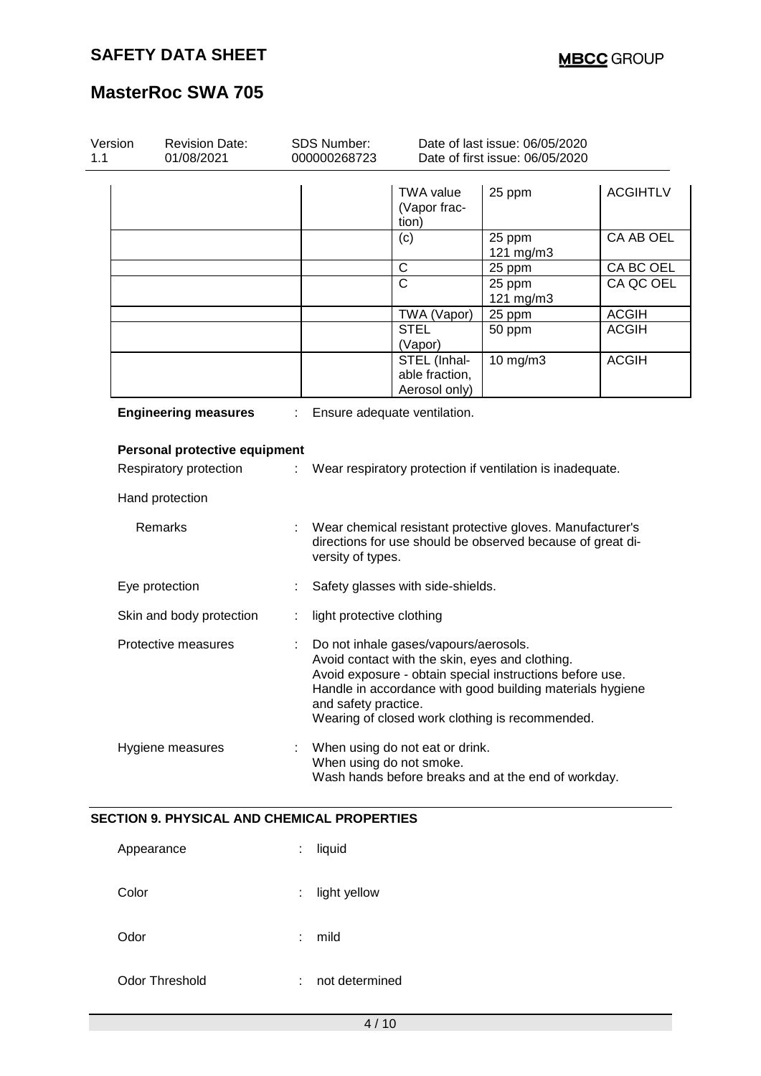| 1.1 | <b>Revision Date:</b><br><b>SDS Number:</b><br>01/08/2021<br>000000268723 |                      | Date of last issue: 06/05/2020<br>Date of first issue: 06/05/2020                        |                                                                                                                                                                          |                 |
|-----|---------------------------------------------------------------------------|----------------------|------------------------------------------------------------------------------------------|--------------------------------------------------------------------------------------------------------------------------------------------------------------------------|-----------------|
|     |                                                                           |                      | TWA value<br>(Vapor frac-<br>tion)                                                       | 25 ppm                                                                                                                                                                   | <b>ACGIHTLV</b> |
|     |                                                                           |                      | (c)                                                                                      | 25 ppm<br>121 mg/m3                                                                                                                                                      | CA AB OEL       |
|     |                                                                           |                      | C                                                                                        | 25 ppm                                                                                                                                                                   | CA BC OEL       |
|     |                                                                           |                      | $\overline{\text{c}}$                                                                    | 25 ppm<br>121 mg/m3                                                                                                                                                      | CA QC OEL       |
|     |                                                                           |                      | TWA (Vapor)                                                                              | 25 ppm                                                                                                                                                                   | <b>ACGIH</b>    |
|     |                                                                           |                      | <b>STEL</b><br>(Vapor)                                                                   | 50 ppm                                                                                                                                                                   | <b>ACGIH</b>    |
|     |                                                                           |                      | STEL (Inhal-<br>able fraction,<br>Aerosol only)                                          | 10 mg/m3                                                                                                                                                                 | <b>ACGIH</b>    |
|     | <b>Engineering measures</b>                                               |                      | Ensure adequate ventilation.                                                             |                                                                                                                                                                          |                 |
|     | Personal protective equipment                                             |                      |                                                                                          |                                                                                                                                                                          |                 |
|     | Respiratory protection                                                    | ÷.                   |                                                                                          | Wear respiratory protection if ventilation is inadequate.                                                                                                                |                 |
|     | Hand protection<br>Remarks                                                |                      |                                                                                          | Wear chemical resistant protective gloves. Manufacturer's                                                                                                                |                 |
|     |                                                                           | versity of types.    |                                                                                          | directions for use should be observed because of great di-                                                                                                               |                 |
|     | Eye protection                                                            |                      | Safety glasses with side-shields.                                                        |                                                                                                                                                                          |                 |
|     | Skin and body protection                                                  | ÷                    | light protective clothing                                                                |                                                                                                                                                                          |                 |
|     | Protective measures                                                       | and safety practice. | Do not inhale gases/vapours/aerosols.<br>Avoid contact with the skin, eyes and clothing. | Avoid exposure - obtain special instructions before use.<br>Handle in accordance with good building materials hygiene<br>Wearing of closed work clothing is recommended. |                 |

| Appearance     | ÷  | liquid         |
|----------------|----|----------------|
| Color          | t. | light yellow   |
| Odor           | ÷. | mild           |
| Odor Threshold | t. | not determined |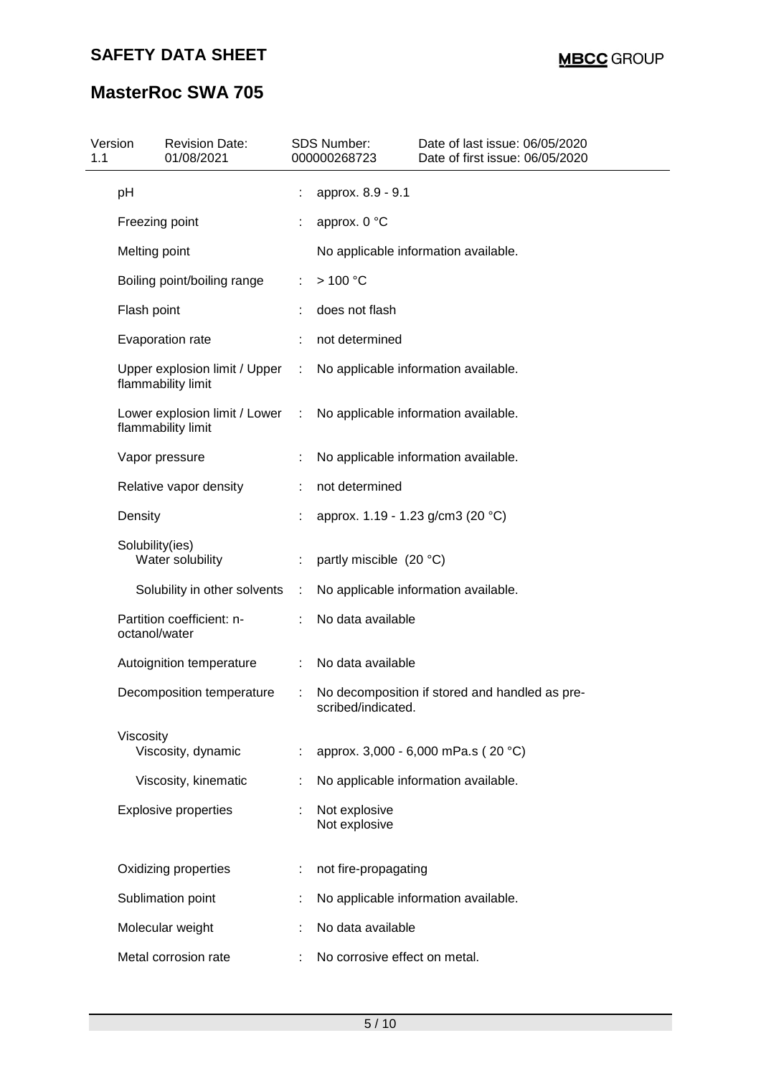| Version<br>1.1 | <b>Revision Date:</b><br>01/08/2021                 |    | <b>SDS Number:</b><br>000000268723 | Date of last issue: 06/05/2020<br>Date of first issue: 06/05/2020 |
|----------------|-----------------------------------------------------|----|------------------------------------|-------------------------------------------------------------------|
| pH             |                                                     |    | approx. 8.9 - 9.1                  |                                                                   |
|                | Freezing point                                      |    | approx. 0 °C                       |                                                                   |
|                | Melting point                                       |    |                                    | No applicable information available.                              |
|                | Boiling point/boiling range                         | ÷  | >100 °C                            |                                                                   |
|                | Flash point                                         |    | does not flash                     |                                                                   |
|                | Evaporation rate                                    |    | not determined                     |                                                                   |
|                | Upper explosion limit / Upper<br>flammability limit | ÷. |                                    | No applicable information available.                              |
|                | Lower explosion limit / Lower<br>flammability limit | ÷  |                                    | No applicable information available.                              |
|                | Vapor pressure                                      |    |                                    | No applicable information available.                              |
|                | Relative vapor density                              |    | not determined                     |                                                                   |
| Density        |                                                     |    |                                    | approx. 1.19 - 1.23 g/cm3 (20 °C)                                 |
|                | Solubility(ies)<br>Water solubility                 |    | partly miscible (20 °C)            |                                                                   |
|                | Solubility in other solvents                        | ÷  |                                    | No applicable information available.                              |
|                | Partition coefficient: n-<br>octanol/water          | ÷. | No data available                  |                                                                   |
|                | Autoignition temperature                            | ÷  | No data available                  |                                                                   |
|                | Decomposition temperature                           |    | scribed/indicated.                 | No decomposition if stored and handled as pre-                    |
| Viscosity      | Viscosity, dynamic                                  |    |                                    | approx. 3,000 - 6,000 mPa.s (20 °C)                               |
|                | Viscosity, kinematic                                |    |                                    | No applicable information available.                              |
|                | <b>Explosive properties</b>                         | ÷. | Not explosive<br>Not explosive     |                                                                   |
|                | Oxidizing properties                                | ÷  | not fire-propagating               |                                                                   |
|                | Sublimation point                                   |    |                                    | No applicable information available.                              |
|                | Molecular weight                                    |    | No data available                  |                                                                   |
|                | Metal corrosion rate                                |    | No corrosive effect on metal.      |                                                                   |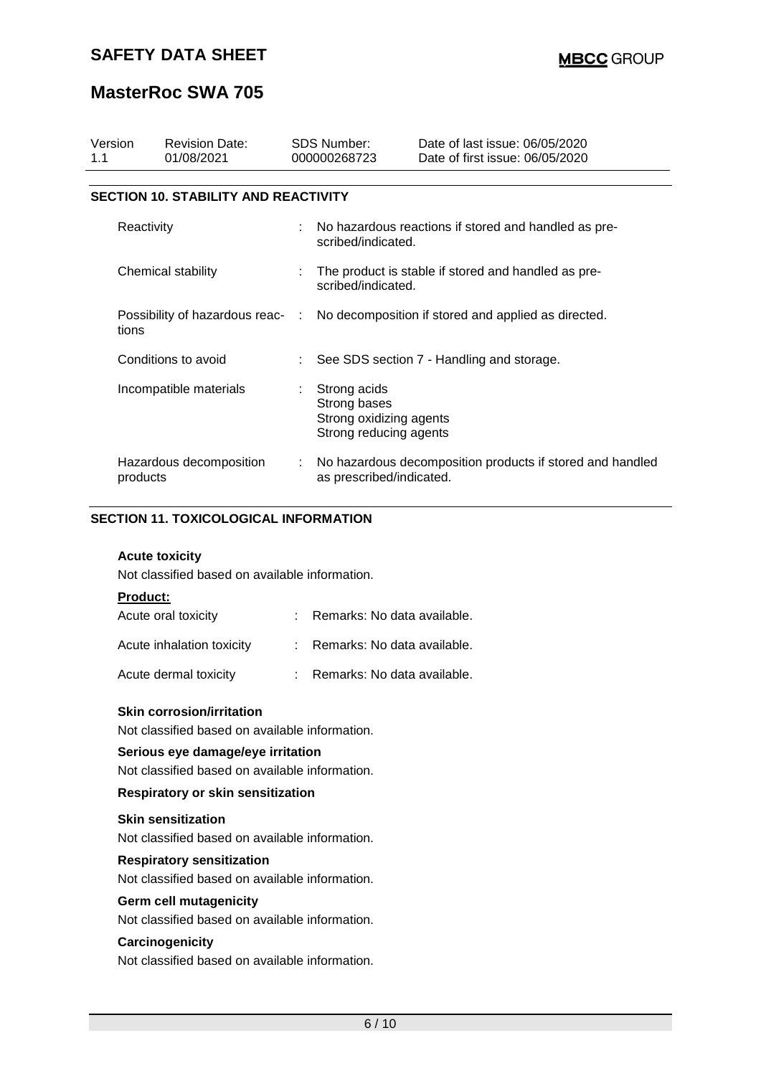| Version<br>1.1     | <b>Revision Date:</b><br>01/08/2021         |                                                                                      | <b>SDS Number:</b><br>000000268723                                                | Date of last issue: 06/05/2020<br>Date of first issue: 06/05/2020 |  |
|--------------------|---------------------------------------------|--------------------------------------------------------------------------------------|-----------------------------------------------------------------------------------|-------------------------------------------------------------------|--|
|                    |                                             |                                                                                      |                                                                                   |                                                                   |  |
|                    | <b>SECTION 10. STABILITY AND REACTIVITY</b> |                                                                                      |                                                                                   |                                                                   |  |
| Reactivity         |                                             |                                                                                      | scribed/indicated.                                                                | No hazardous reactions if stored and handled as pre-              |  |
| Chemical stability |                                             |                                                                                      | The product is stable if stored and handled as pre-<br>scribed/indicated.         |                                                                   |  |
| tions              |                                             | Possibility of hazardous reac- : No decomposition if stored and applied as directed. |                                                                                   |                                                                   |  |
|                    | Conditions to avoid                         |                                                                                      |                                                                                   | See SDS section 7 - Handling and storage.                         |  |
|                    | Incompatible materials                      |                                                                                      | Strong acids<br>Strong bases<br>Strong oxidizing agents<br>Strong reducing agents |                                                                   |  |
| products           | Hazardous decomposition                     |                                                                                      | as prescribed/indicated.                                                          | No hazardous decomposition products if stored and handled         |  |

### **SECTION 11. TOXICOLOGICAL INFORMATION**

#### **Acute toxicity**

Not classified based on available information.

#### **Product:**

| Acute oral toxicity       | Remarks: No data available. |
|---------------------------|-----------------------------|
| Acute inhalation toxicity | Remarks: No data available. |
| Acute dermal toxicity     | Remarks: No data available. |

#### **Skin corrosion/irritation**

Not classified based on available information.

#### **Serious eye damage/eye irritation**

Not classified based on available information.

#### **Respiratory or skin sensitization**

#### **Skin sensitization**

Not classified based on available information.

#### **Respiratory sensitization**

Not classified based on available information.

### **Germ cell mutagenicity**

Not classified based on available information.

#### **Carcinogenicity**

Not classified based on available information.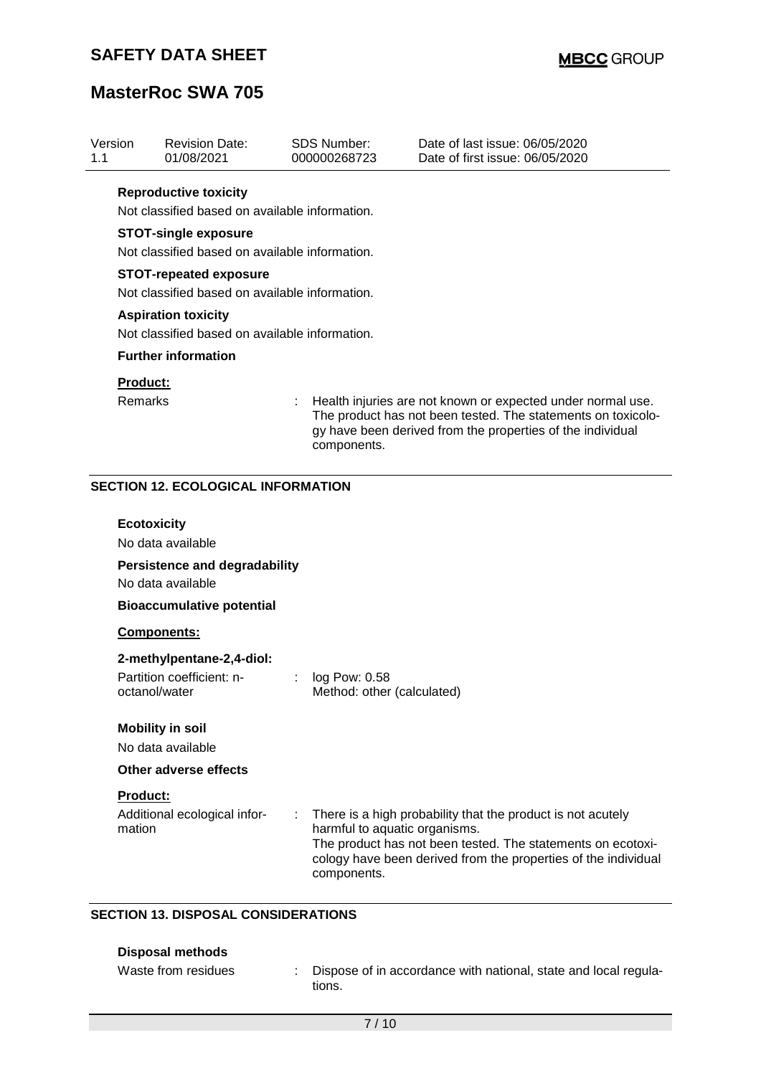# **MasterRoc SWA 705**

| Version<br>1.1 | <b>Revision Date:</b><br>01/08/2021                                                                                                                                                                                                                                                                                                                              |                       | <b>SDS Number:</b><br>000000268723           | Date of last issue: 06/05/2020<br>Date of first issue: 06/05/2020                                                                                                                            |  |  |  |
|----------------|------------------------------------------------------------------------------------------------------------------------------------------------------------------------------------------------------------------------------------------------------------------------------------------------------------------------------------------------------------------|-----------------------|----------------------------------------------|----------------------------------------------------------------------------------------------------------------------------------------------------------------------------------------------|--|--|--|
|                | <b>Reproductive toxicity</b><br>Not classified based on available information.<br><b>STOT-single exposure</b><br>Not classified based on available information.<br><b>STOT-repeated exposure</b><br>Not classified based on available information.<br><b>Aspiration toxicity</b><br>Not classified based on available information.<br><b>Further information</b> |                       |                                              |                                                                                                                                                                                              |  |  |  |
|                | Product:<br>Remarks                                                                                                                                                                                                                                                                                                                                              |                       | components.                                  | Health injuries are not known or expected under normal use.<br>The product has not been tested. The statements on toxicolo-<br>gy have been derived from the properties of the individual    |  |  |  |
|                | <b>SECTION 12. ECOLOGICAL INFORMATION</b>                                                                                                                                                                                                                                                                                                                        |                       |                                              |                                                                                                                                                                                              |  |  |  |
|                | <b>Ecotoxicity</b><br>No data available<br><b>Persistence and degradability</b><br>No data available<br><b>Bioaccumulative potential</b>                                                                                                                                                                                                                         |                       |                                              |                                                                                                                                                                                              |  |  |  |
|                | Components:                                                                                                                                                                                                                                                                                                                                                      |                       |                                              |                                                                                                                                                                                              |  |  |  |
|                | 2-methylpentane-2,4-diol:<br>Partition coefficient: n-<br>octanol/water                                                                                                                                                                                                                                                                                          | $\mathbb{Z}^{\times}$ | log Pow: 0.58<br>Method: other (calculated)  |                                                                                                                                                                                              |  |  |  |
|                | <b>Mobility in soil</b><br>No data available                                                                                                                                                                                                                                                                                                                     |                       |                                              |                                                                                                                                                                                              |  |  |  |
|                | Other adverse effects                                                                                                                                                                                                                                                                                                                                            |                       |                                              |                                                                                                                                                                                              |  |  |  |
|                | Product:<br>Additional ecological infor-<br>mation                                                                                                                                                                                                                                                                                                               |                       | harmful to aquatic organisms.<br>components. | There is a high probability that the product is not acutely<br>The product has not been tested. The statements on ecotoxi-<br>cology have been derived from the properties of the individual |  |  |  |

## **SECTION 13. DISPOSAL CONSIDERATIONS**

| <b>Disposal methods</b> |  |
|-------------------------|--|
|-------------------------|--|

| Waste from residues | Dispose of in accordance with national, state and local regula- |
|---------------------|-----------------------------------------------------------------|
|                     | tions.                                                          |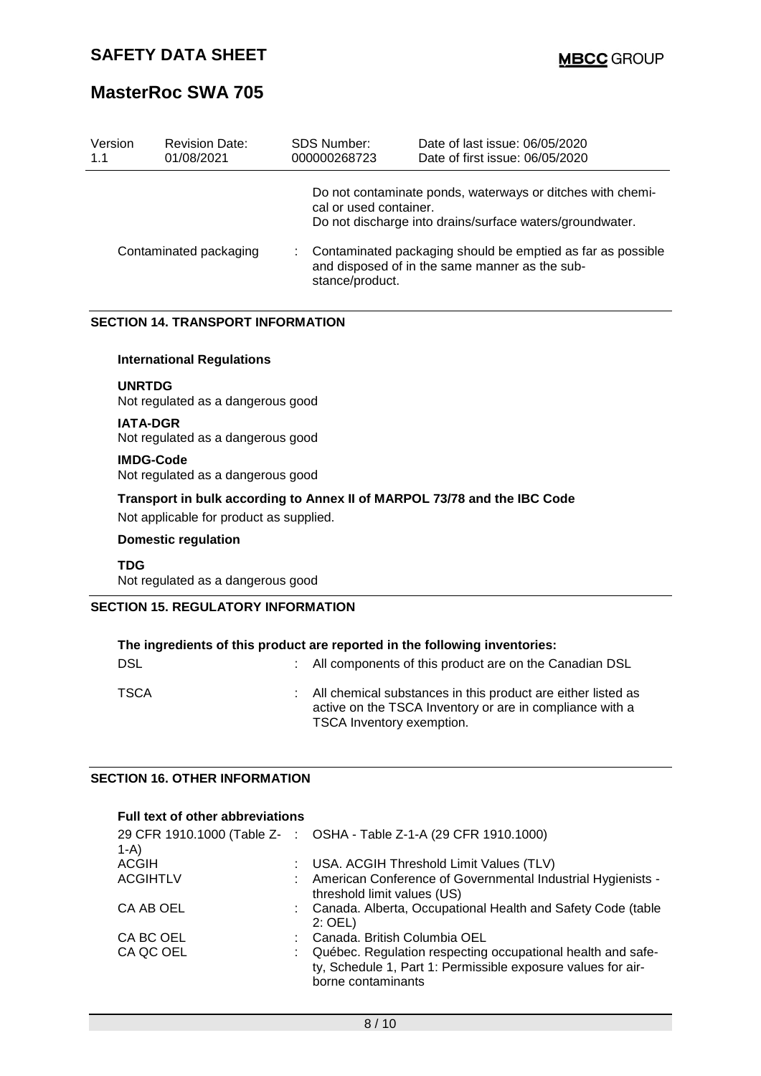| Version | <b>Revision Date:</b>  | <b>SDS Number:</b>                        | Date of last issue: 06/05/2020                                                                                                                                                                                                          |
|---------|------------------------|-------------------------------------------|-----------------------------------------------------------------------------------------------------------------------------------------------------------------------------------------------------------------------------------------|
| 1.1     | 01/08/2021             | 000000268723                              | Date of first issue: 06/05/2020                                                                                                                                                                                                         |
|         | Contaminated packaging | cal or used container.<br>stance/product. | Do not contaminate ponds, waterways or ditches with chemi-<br>Do not discharge into drains/surface waters/groundwater.<br>Contaminated packaging should be emptied as far as possible<br>and disposed of in the same manner as the sub- |

## **SECTION 14. TRANSPORT INFORMATION**

#### **International Regulations**

#### **UNRTDG**

Not regulated as a dangerous good

#### **IATA-DGR**

Not regulated as a dangerous good

#### **IMDG-Code**

Not regulated as a dangerous good

#### **Transport in bulk according to Annex II of MARPOL 73/78 and the IBC Code**

Not applicable for product as supplied.

#### **Domestic regulation**

**TDG** Not regulated as a dangerous good

### **SECTION 15. REGULATORY INFORMATION**

| The ingredients of this product are reported in the following inventories: |  |                                                                                                                                                         |  |
|----------------------------------------------------------------------------|--|---------------------------------------------------------------------------------------------------------------------------------------------------------|--|
| <b>DSL</b>                                                                 |  | : All components of this product are on the Canadian DSL                                                                                                |  |
| <b>TSCA</b>                                                                |  | : All chemical substances in this product are either listed as<br>active on the TSCA Inventory or are in compliance with a<br>TSCA Inventory exemption. |  |

#### **SECTION 16. OTHER INFORMATION**

| Full text of other abbreviations |                                                                                                                                                   |
|----------------------------------|---------------------------------------------------------------------------------------------------------------------------------------------------|
| $1-A$                            | 29 CFR 1910.1000 (Table Z- : OSHA - Table Z-1-A (29 CFR 1910.1000)                                                                                |
| <b>ACGIH</b>                     | : USA. ACGIH Threshold Limit Values (TLV)                                                                                                         |
| <b>ACGIHTLV</b>                  | : American Conference of Governmental Industrial Hygienists -<br>threshold limit values (US)                                                      |
| CA AB OEL                        | : Canada. Alberta, Occupational Health and Safety Code (table<br>$2:$ OEL)                                                                        |
| CA BC OEL                        | : Canada, British Columbia OEL                                                                                                                    |
| CA QC OEL                        | Québec. Regulation respecting occupational health and safe-<br>ty, Schedule 1, Part 1: Permissible exposure values for air-<br>borne contaminants |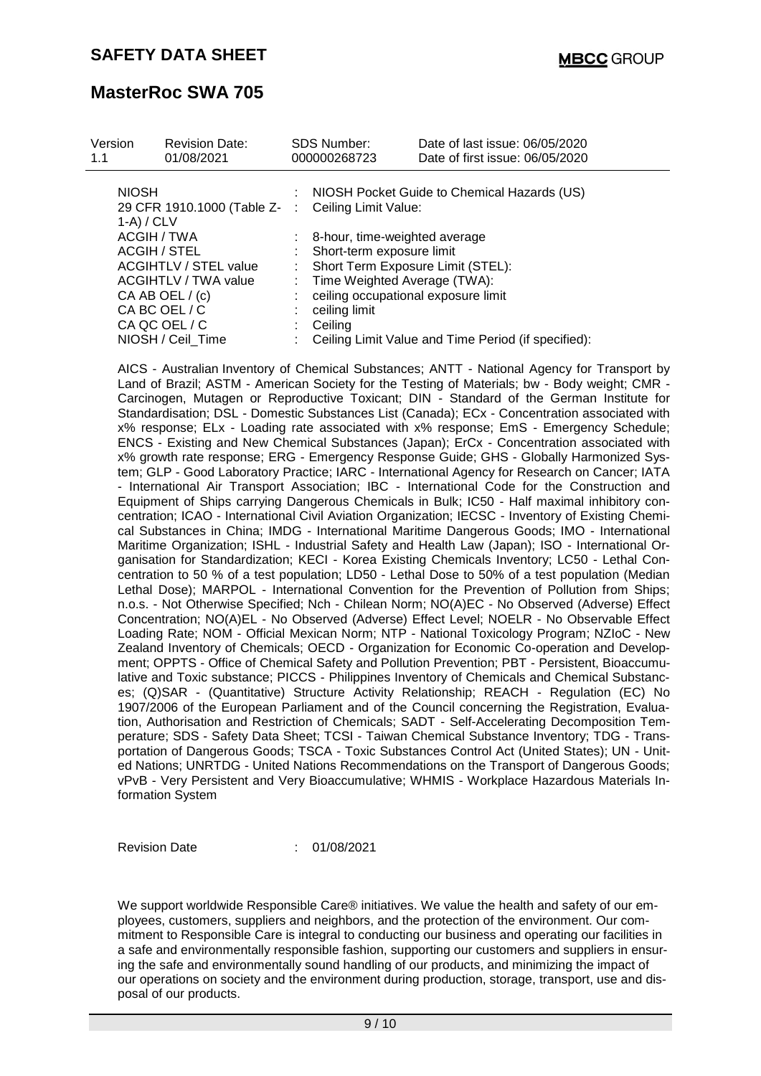|                                                                                                                                           |                | 000000268723                                                                                                                                                                                         | Date of first issue: 06/05/2020                     |
|-------------------------------------------------------------------------------------------------------------------------------------------|----------------|------------------------------------------------------------------------------------------------------------------------------------------------------------------------------------------------------|-----------------------------------------------------|
| <b>NIOSH</b><br>$1-A$ ) / CLV                                                                                                             |                | 29 CFR 1910.1000 (Table Z- : Ceiling Limit Value:                                                                                                                                                    | : NIOSH Pocket Guide to Chemical Hazards (US)       |
| ACGIH / TWA<br>ACGIH / STEL<br><b>ACGIHTLV / STEL value</b><br>ACGIHTLV / TWA value<br>CA AB OEL $/(c)$<br>CA BC OEL / C<br>CA QC OEL / C | t.<br>÷.<br>t. | : 8-hour, time-weighted average<br>Short-term exposure limit<br>Short Term Exposure Limit (STEL):<br>Time Weighted Average (TWA):<br>ceiling occupational exposure limit<br>ceiling limit<br>Ceiling | Ceiling Limit Value and Time Period (if specified): |

AICS - Australian Inventory of Chemical Substances; ANTT - National Agency for Transport by Land of Brazil; ASTM - American Society for the Testing of Materials; bw - Body weight; CMR - Carcinogen, Mutagen or Reproductive Toxicant; DIN - Standard of the German Institute for Standardisation; DSL - Domestic Substances List (Canada); ECx - Concentration associated with x% response; ELx - Loading rate associated with x% response; EmS - Emergency Schedule; ENCS - Existing and New Chemical Substances (Japan); ErCx - Concentration associated with x% growth rate response; ERG - Emergency Response Guide; GHS - Globally Harmonized System; GLP - Good Laboratory Practice; IARC - International Agency for Research on Cancer; IATA - International Air Transport Association; IBC - International Code for the Construction and Equipment of Ships carrying Dangerous Chemicals in Bulk; IC50 - Half maximal inhibitory concentration; ICAO - International Civil Aviation Organization; IECSC - Inventory of Existing Chemical Substances in China; IMDG - International Maritime Dangerous Goods; IMO - International Maritime Organization; ISHL - Industrial Safety and Health Law (Japan); ISO - International Organisation for Standardization; KECI - Korea Existing Chemicals Inventory; LC50 - Lethal Concentration to 50 % of a test population; LD50 - Lethal Dose to 50% of a test population (Median Lethal Dose); MARPOL - International Convention for the Prevention of Pollution from Ships; n.o.s. - Not Otherwise Specified; Nch - Chilean Norm; NO(A)EC - No Observed (Adverse) Effect Concentration; NO(A)EL - No Observed (Adverse) Effect Level; NOELR - No Observable Effect Loading Rate; NOM - Official Mexican Norm; NTP - National Toxicology Program; NZIoC - New Zealand Inventory of Chemicals; OECD - Organization for Economic Co-operation and Development; OPPTS - Office of Chemical Safety and Pollution Prevention; PBT - Persistent, Bioaccumulative and Toxic substance; PICCS - Philippines Inventory of Chemicals and Chemical Substances; (Q)SAR - (Quantitative) Structure Activity Relationship; REACH - Regulation (EC) No 1907/2006 of the European Parliament and of the Council concerning the Registration, Evaluation, Authorisation and Restriction of Chemicals; SADT - Self-Accelerating Decomposition Temperature; SDS - Safety Data Sheet; TCSI - Taiwan Chemical Substance Inventory; TDG - Transportation of Dangerous Goods; TSCA - Toxic Substances Control Act (United States); UN - United Nations; UNRTDG - United Nations Recommendations on the Transport of Dangerous Goods; vPvB - Very Persistent and Very Bioaccumulative; WHMIS - Workplace Hazardous Materials Information System

Revision Date : 01/08/2021

We support worldwide Responsible Care® initiatives. We value the health and safety of our employees, customers, suppliers and neighbors, and the protection of the environment. Our commitment to Responsible Care is integral to conducting our business and operating our facilities in a safe and environmentally responsible fashion, supporting our customers and suppliers in ensuring the safe and environmentally sound handling of our products, and minimizing the impact of our operations on society and the environment during production, storage, transport, use and disposal of our products.